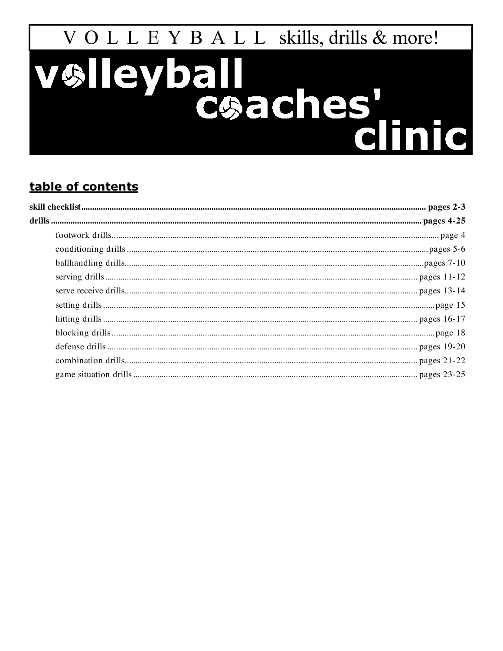# VOLLEY DELLEY DE LA CONCRETENT CONCRETENT

# table of contents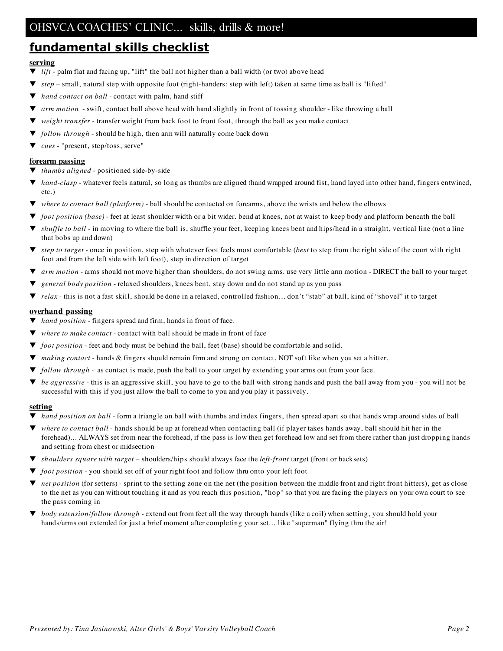# **fundamental skills checklist**

#### **serving**

- $\blacktriangledown$  *lift* palm flat and facing up, "lift" the ball not higher than a ball width (or two) above head
- ▼ *step* small, natural step with opposite foot (right-handers: step with left) taken at same time as ball is "lifted"
- *hand contact on ball* contact with palm, hand stiff
- ▼ *arm motion* swift, contact ball above head with hand slightly in front of tossing shoulder like throwing a ball
- weight transfer transfer weight from back foot to front foot, through the ball as you make contact
- ▼ *follow through* should be high, then arm will naturally come back down
- ▼ *cues* "present, step/toss, serve"

#### **forearm passing**

- ▼ *thumbs aligned* positioned side-by-side
- *hand-clasp* whatever feels natural, so long as thumbs are aligned (hand wrapped around fist, hand layed into other hand, fingers entwined, etc.)
- ▼ *where to contact ball (platform)* ball should be contacted on forearms, above the wrists and below the elbows
- *foot position* (base) feet at least shoulder width or a bit wider. bend at knees, not at waist to keep body and platform beneath the ball
- ▼ *shuffle to ball* in moving to where the ball is, shuffle your feet, keeping knees bent and hips/head in a straight, vertical line (not a line that bobs up and down)
- *step* to target once in position, step with whatever foot feels most comfortable (*best* to step from the right side of the court with right foot and from the left side with left foot), step in direction of target
- ▼ *arm motion* arms should not move higher than shoulders, do not swing arms. use very little arm motion DIRECT the ball to your target
- general body position relaxed shoulders, knees bent, stay down and do not stand up as you pass
- relax this is not a fast skill, should be done in a relaxed, controlled fashion... don't "stab" at ball, kind of "shovel" it to target

#### **overhand passing**

- ▼ *hand position* fingers spread and firm, hands in front of face.
- where to make contact contact with ball should be made in front of face
- ▼ *foot position* feet and body must be behind the ball, feet (base) should be comfortable and solid.
- ▼ *making contact* hands & fingers should remain firm and strong on contact, NOT soft like when you set a hitter.
- ▼ *follow through -* as contact is made, push the ball to your target by extending your arms out from your face.
- ▼ *be aggressive* this is an aggressive skill, you have to go to the ball with strong hands and push the ball away from you you will not be successful with this if you just allow the ball to come to you and you play it passively.

#### **setting**

- ▼ *hand position on ball* form a triangle on ball with thumbs and index fingers, then spread apart so that hands wrap around sides of ball
- ▼ *where to contact ball* hands should be up at forehead when contacting ball (if player takes hands away, ball should hit her in the forehead)... ALWAYS set from near the forehead, if the pass is low then get forehead low and set from there rather than just dropping hands and setting from chest or midsection
- ▼ *shoulders square with target* shoulders/hips should always face the *left-front* target (front or backsets)
- *foot position* you should set off of your right foot and follow thru onto your left foot
- ▼ *net position* (for setters) sprint to the setting zone on the net (the position between the middle front and right front hitters), get as close to the net as you can without touching it and as you reach this position, "hop" so that you are facing the players on your own court to see the pass coming in
- ▼ *body extension/follow through* extend out from feet all the way through hands (like a coil) when setting, you should hold your hands/arms out extended for just a brief moment after completing your set... like "superman" flying thru the air!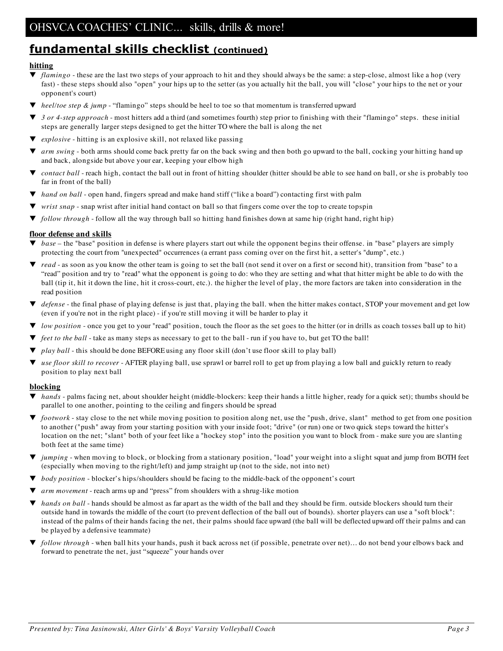# **fundamental skills checklist (continued)**

#### **hitting**

- ▼ *flamingo* these are the last two steps of your approach to hit and they should always be the same: a step-close, almost like a hop (very fast) - these steps should also "open" your hips up to the setter (as you actually hit the ball, you will "close" your hips to the net or your opponent's court)
- ▼ *heel/toe step & jump* "flamingo" steps should be heel to toe so that momentum is transferred upward
- ▼ *3 or 4-step approach* most hitters add a third (and sometimes fourth) step prior to finishing with their "flamingo" steps. these initial steps are generally larger steps designed to get the hitter TO where the ball is along the net
- explosive hitting is an explosive skill, not relaxed like passing
- *arm swing* both arms should come back pretty far on the back swing and then both go upward to the ball, cocking your hitting hand up and back, alongside but above your ear, keeping your elbow high
- *contact ball* reach high, contact the ball out in front of hitting shoulder (hitter should be able to see hand on ball, or she is probably too far in front of the ball)
- ▼ *hand on ball* open hand, fingers spread and make hand stiff ("like a board") contacting first with palm
- *wrist* snap snap wrist after initial hand contact on ball so that fingers come over the top to create topspin
- ▼ *follow through* follow all the way through ball so hitting hand finishes down at same hip (right hand, right hip)

#### **floor defense and skills**

- ▼ *base* the "base" position in defense is where players start out while the opponent begins their offense. in "base" players are simply protecting the court from "unexpected" occurrences (a errant pass coming over on the first hit, a setter's "dump", etc.)
- *read* as soon as you know the other team is going to set the ball (not send it over on a first or second hit), transition from "base" to a "read" position and try to "read" what the opponent is going to do: who they are setting and what that hitter might be able to do with the ball (tip it, hit it down the line, hit it cross-court, etc.). the higher the level of play, the more factors are taken into consideration in the read position
- ▼ *defense* the final phase of playing defense is just that, playing the ball. when the hitter makes contact, STOP your movement and get low (even if you're not in the right place) - if you're still moving it will be harder to play it
- ▼ *low position* once you get to your "read" position, touch the floor as the set goes to the hitter (or in drills as coach tosses ball up to hit)
- *feet to the ball* take as many steps as necessary to get to the ball run if you have to, but get TO the ball!
- *play ball* this should be done BEFORE using any floor skill (don't use floor skill to play ball)
- ▼ *use floor skill to recover* AFTER playing ball, use sprawl or barrel roll to get up from playing a low ball and guickly return to ready position to play next ball

#### **blocking**

- ▼ *hands* palms facing net, about shoulder height (middle-blockers: keep their hands a little higher, ready for a quick set); thumbs should be parallel to one another, pointing to the ceiling and fingers should be spread
- ▼ *footwork* stay close to the net while moving position to position along net, use the "push, drive, slant" method to get from one position to another ("push" away from your starting position with your inside foot; "drive" (or run) one or two quick steps toward the hitter's location on the net; "slant" both of your feet like a "hockey stop" into the position you want to block from - make sure you are slanting both feet at the same time)
- ▼ *jumping* when moving to block, or blocking from a stationary position, "load" your weight into a slight squat and jump from BOTH feet (especially when moving to the right/left) and jump straight up (not to the side, not into net)
- *body position* blocker's hips/shoulders should be facing to the middle-back of the opponent's court
- ▼ *arm movement* reach arms up and "press" from shoulders with a shrug-like motion
- ▼ *hands on ball* hands should be almost as far apart as the width of the ball and they should be firm. outside blockers should turn their outside hand in towards the middle of the court (to prevent deflection of the ball out of bounds). shorter players can use a "soft block": instead of the palms of their hands facing the net, their palms should face upward (the ball will be deflected upward off their palms and can be played by a defensive teammate)
- ▼ *follow through* when ball hits your hands, push it back across net (if possible, penetrate over net)… do not bend your elbows back and forward to penetrate the net, just "squeeze" your hands over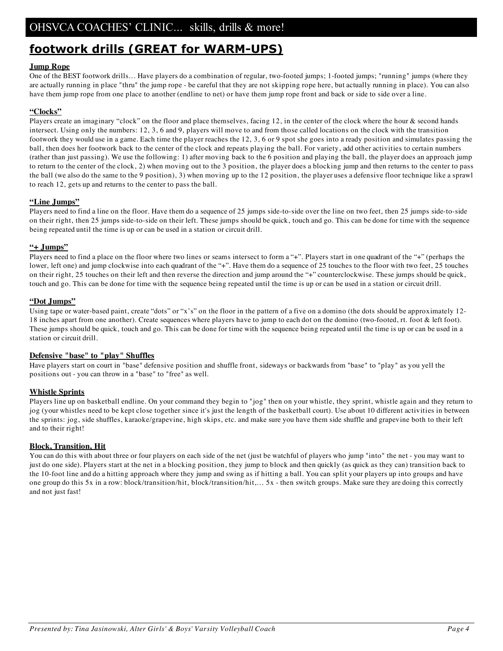# **footwork drills (GREAT for WARM-UPS)**

#### **Jump Rope**

One of the BEST footwork drills... Have players do a combination of regular, two-footed jumps; 1-footed jumps; "running" jumps (where they are actually running in place "thru" the jump rope - be careful that they are not skipping rope here, but actually running in place). You can also have them jump rope from one place to another (endline to net) or have them jump rope front and back or side to side over a line.

#### **"Clocks"**

Players create an imaginary "clock" on the floor and place themselves, facing 12, in the center of the clock where the hour & second hands intersect. Using only the numbers: 12, 3, 6 and 9, players will move to and from those called locations on the clock with the transition footwork they would use in a game. Each time the player reaches the 12, 3, 6 or 9 spot she goes into a ready position and simulates passing the ball, then does her footwork back to the center of the clock and repeats playing the ball. For variety, add other activities to certain numbers (rather than just passing). We use the following: 1) after moving back to the 6 position and playing the ball, the player does an approach jump to return to the center of the clock, 2) when moving out to the 3 position, the player does a blocking jump and then returns to the center to pass the ball (we also do the same to the 9 position), 3) when moving up to the 12 position, the player uses a defensive floor technique like a sprawl to reach 12, gets up and returns to the center to pass the ball.

#### **"Line Jumps"**

Players need to find a line on the floor. Have them do a sequence of 25 jumps side-to-side over the line on two feet, then 25 jumps side-to-side on their right, then 25 jumps side-to-side on their left. These jumps should be quick, touch and go. This can be done for time with the sequence being repeated until the time is up or can be used in a station or circuit drill.

#### **"+ Jumps"**

Players need to find a place on the floor where two lines or seams intersect to form a "+". Players start in one quadrant of the "+" (perhaps the lower, left one) and jump clockwise into each quadrant of the "+". Have them do a sequence of 25 touches to the floor with two feet, 25 touches on their right, 25 touches on their left and then reverse the direction and jump around the "+" counterclockwise. These jumps should be quick, touch and go. This can be done for time with the sequence being repeated until the time is up or can be used in a station or circuit drill.

#### **"Dot Jumps"**

Using tape or water-based paint, create "dots" or "x's" on the floor in the pattern of a five on a domino (the dots should be approximately 12- 18 inches apart from one another). Create sequences where players have to jump to each dot on the domino (two-footed, rt. foot & left foot). These jumps should be quick, touch and go. This can be done for time with the sequence being repeated until the time is up or can be used in a station or circuit drill.

#### **Defensive "base" to "play" Shuffles**

Have players start on court in "base" defensive position and shuffle front, sideways or backwards from "base" to "play" as you yell the positions out - you can throw in a "base" to "free" as well.

#### **Whistle Sprints**

Players line up on basketball endline. On your command they begin to "jog" then on your whistle, they sprint, whistle again and they return to jog (your whistles need to be kept close together since it's just the length of the basketball court). Use about 10 different activities in between the sprints: jog, side shuffles, karaoke/grapevine, high skips, etc. and make sure you have them side shuffle and grapevine both to their left and to their right!

#### **Block, Transition, Hit**

You can do this with about three or four players on each side of the net (just be watchful of players who jump "into" the net - you may want to just do one side). Players start at the net in a blocking position, they jump to block and then quickly (as quick as they can) transition back to the 10-foot line and do a hitting approach where they jump and swing as if hitting a ball. You can split your players up into groups and have one group do this 5x in a row: block/transition/hit, block/transition/hit,... 5x - then switch groups. Make sure they are doing this correctly and not just fast!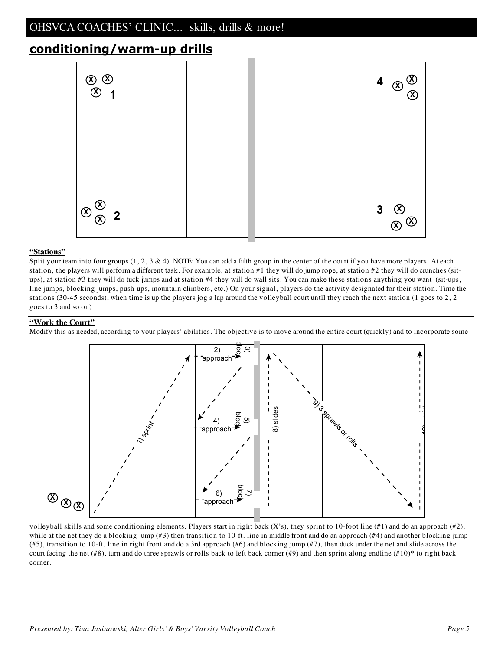# **conditioning/warm-up drills**



#### **"Stations"**

Split your team into four groups  $(1, 2, 3 \& 4)$ . NOTE: You can add a fifth group in the center of the court if you have more players. At each station, the players will perform a different task. For example, at station #1 they will do jump rope, at station #2 they will do crunches (situps), at station #3 they will do tuck jumps and at station #4 they will do wall sits. You can make these stations anything you want (sit-ups, line jumps, blocking jumps, push-ups, mountain climbers, etc.) On your signal, players do the activity designated for their station. Time the stations (30-45 seconds), when time is up the players jog a lap around the volleyball court until they reach the next station (1 goes to 2, 2 goes to 3 and so on)

#### **"Work the Court"**

Modify this as needed, according to your players' abilities. The objective is to move around the entire court (quickly) and to incorporate some



volleyball skills and some conditioning elements. Players start in right back  $(X's)$ , they sprint to 10-foot line  $(\#1)$  and do an approach  $(\#2)$ , while at the net they do a blocking jump (#3) then transition to 10-ft. line in middle front and do an approach (#4) and another blocking jump (#5), transition to 10-ft. line in right front and do a 3rd approach (#6) and blocking jump (#7), then duck under the net and slide across the court facing the net (#8), turn and do three sprawls or rolls back to left back corner (#9) and then sprint along endline (#10)\* to right back corner.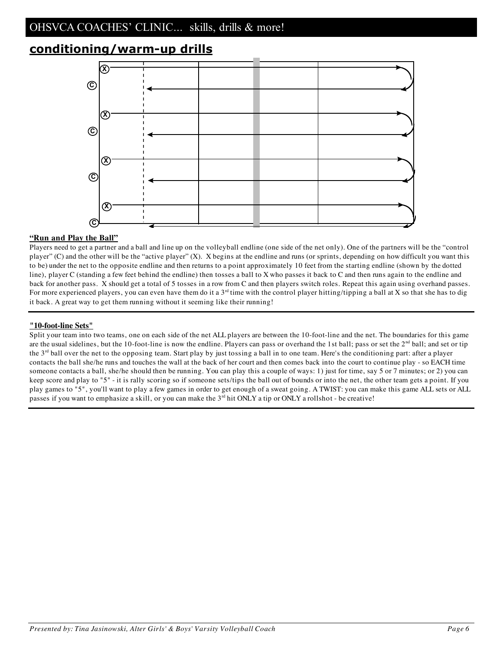# **conditioning/warm-up drills**



#### **"Run and Play the Ball"**

Players need to get a partner and a ball and line up on the volleyball endline (one side of the net only). One of the partners will be the "control player" (C) and the other will be the "active player" (X). X begins at the endline and runs (or sprints, depending on how difficult you want this to be) under the net to the opposite endline and then returns to a point approximately 10 feet from the starting endline (shown by the dotted line), player C (standing a few feet behind the endline) then tosses a ball to X who passes it back to C and then runs again to the endline and back for another pass. X should get a total of 5 tosses in a row from C and then players switch roles. Repeat this again using overhand passes. For more experienced players, you can even have them do it a  $3<sup>rd</sup>$  time with the control player hitting/tipping a ball at X so that she has to dig it back. A great way to get them running without it seeming like their running!

#### **"10-foot-line Sets"**

Split your team into two teams, one on each side of the net ALL players are between the 10-foot-line and the net. The boundaries for this game are the usual sidelines, but the 10-foot-line is now the endline. Players can pass or overhand the 1st ball; pass or set the  $2<sup>nd</sup>$  ball; and set or tip the 3rd ball over the net to the opposing team. Start play by just tossing a ball in to one team. Here's the conditioning part: after a player contacts the ball she/he runs and touches the wall at the back of her court and then comes back into the court to continue play - so EACH time someone contacts a ball, she/he should then be running. You can play this a couple of ways: 1) just for time, say 5 or 7 minutes; or 2) you can keep score and play to "5" - it is rally scoring so if someone sets/tips the ball out of bounds or into the net, the other team gets a point. If you play games to "5", you'll want to play a few games in order to get enough of a sweat going. A TWIST: you can make this game ALL sets or ALL passes if you want to emphasize a skill, or you can make the  $3<sup>rd</sup>$  hit ONLY a tip or ONLY a rollshot - be creative!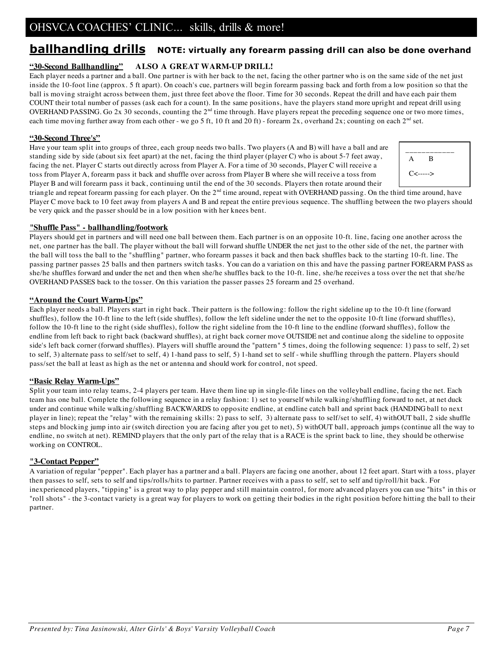# **ballhandling drills NOTE: virtually any forearm passing drill can also be done overhand**

#### **"30-Second Ballhandling" ALSO A GREAT WARM-UP DRILL!**

Each player needs a partner and a ball. One partner is with her back to the net, facing the other partner who is on the same side of the net just inside the 10-foot line (approx. 5 ft apart). On coach's cue, partners will begin forearm passing back and forth from a low position so that the ball is moving straight across between them, just three feet above the floor. Time for 30 seconds. Repeat the drill and have each pair them COUNT their total number of passes (ask each for a count). In the same positions, have the players stand more upright and repeat drill using OVERHAND PASSING. Go 2x 30 seconds, counting the  $2<sup>nd</sup>$  time through. Have players repeat the preceding sequence one or two more times, each time moving further away from each other - we go 5 ft, 10 ft and 20 ft) - forearm  $2x$ , overhand  $2x$ ; counting on each  $2<sup>nd</sup>$  set.

#### **"30-Second Three's"**

Have your team split into groups of three, each group needs two balls. Two players (A and B) will have a ball and are standing side by side (about six feet apart) at the net, facing the third player (player C) who is about 5-7 feet away, facing the net. Player C starts out directly across from Player A. For a time of 30 seconds, Player C will receive a toss from Player A, forearm pass it back and shuffle over across from Player B where she will receive a toss from Player B and will forearm pass it back, continuing until the end of the 30 seconds. Players then rotate around their

| A           | B |  |
|-------------|---|--|
| $C$ <-----> |   |  |

triangle and repeat forearm passing for each player. On the 2<sup>nd</sup> time around, repeat with OVERHAND passing. On the third time around, have Player C move back to 10 feet away from players A and B and repeat the entire previous sequence. The shuffling between the two players should be very quick and the passer should be in a low position with her knees bent.

#### **"Shuffle Pass" - ballhandling/footwork**

Players should get in partners and will need one ball between them. Each partner is on an opposite 10-ft. line, facing one another across the net, one partner has the ball. The player without the ball will forward shuffle UNDER the net just to the other side of the net, the partner with the ball will toss the ball to the "shuffling" partner, who forearm passes it back and then back shuffles back to the starting 10-ft. line. The passing partner passes 25 balls and then partners switch tasks. You can do a variation on this and have the passing partner FOREARM PASS as she/he shuffles forward and under the net and then when she/he shuffles back to the 10-ft. line, she/he receives a toss over the net that she/he OVERHAND PASSES back to the tosser. On this variation the passer passes 25 forearm and 25 overhand.

#### **"Around the Court Warm-Ups"**

Each player needs a ball. Players start in right back. Their pattern is the following: follow the right sideline up to the 10-ft line (forward shuffles), follow the 10-ft line to the left (side shuffles), follow the left sideline under the net to the opposite 10-ft line (forward shuffles), follow the 10-ft line to the right (side shuffles), follow the right sideline from the 10-ft line to the endline (forward shuffles), follow the endline from left back to right back (backward shuffles), at right back corner move OUTSIDE net and continue along the sideline to opposite side's left back corner (forward shuffles). Players will shuffle around the "pattern" 5 times, doing the following sequence: 1) pass to self, 2) set to self, 3) alternate pass to self/set to self, 4) 1-hand pass to self, 5) 1-hand set to self - while shuffling through the pattern. Players should pass/set the ball at least as high as the net or antenna and should work for control, not speed.

#### **"Basic Relay Warm-Ups"**

Split your team into relay teams, 2-4 players per team. Have them line up in single-file lines on the volleyball endline, facing the net. Each team has one ball. Complete the following sequence in a relay fashion: 1) set to yourself while walking/shuffling forward to net, at net duck under and continue while walking/shuffling BACKWARDS to opposite endline, at endline catch ball and sprint back (HANDING ball to next player in line); repeat the "relay" with the remaining skills: 2) pass to self, 3) alternate pass to self/set to self, 4) withOUT ball, 2 side shuffle steps and blocking jump into air (switch direction you are facing after you get to net), 5) withOUT ball, approach jumps (continue all the way to endline, no switch at net). REMIND players that the only part of the relay that is a RACE is the sprint back to line, they should be otherwise working on CONTROL.

#### **"3-Contact Pepper"**

A variation of regular "pepper". Each player has a partner and a ball. Players are facing one another, about 12 feet apart. Start with a toss, player then passes to self, sets to self and tips/rolls/hits to partner. Partner receives with a pass to self, set to self and tip/roll/hit back. For inexperienced players, "tipping" is a great way to play pepper and still maintain control, for more advanced players you can use "hits" in this or "roll shots" - the 3-contact variety is a great way for players to work on getting their bodies in the right position before hitting the ball to their partner.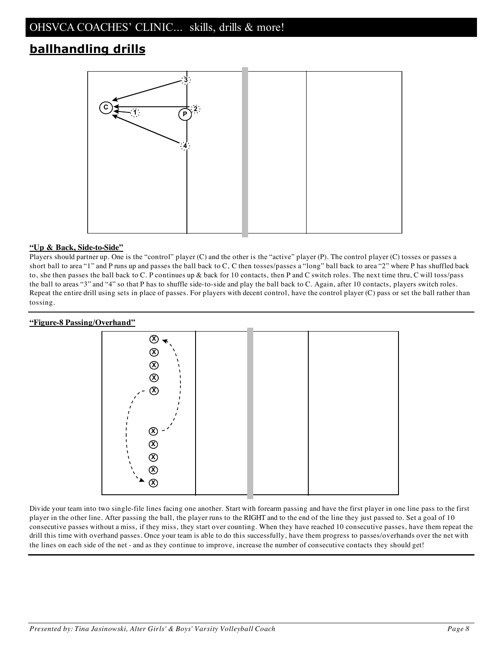# **ballhandling drills**



#### **"Up & Back, Side-to-Side"**

Players should partner up. One is the "control" player (C) and the other is the "active" player (P). The control player (C) tosses or passes a short ball to area "1" and P runs up and passes the ball back to C, C then tosses/passes a "long" ball back to area "2" where P has shuffled back to, she then passes the ball back to C. P continues up & back for 10 contacts, then P and C switch roles. The next time thru, C will toss/pass the ball to areas "3" and "4" so that P has to shuffle side-to-side and play the ball back to C. Again, after 10 contacts, players switch roles. Repeat the entire drill using sets in place of passes. For players with decent control, have the control player (C) pass or set the ball rather than tossing.

#### **"Figure-8 Passing/Overhand"**



Divide your team into two single-file lines facing one another. Start with forearm passing and have the first player in one line pass to the first player in the other line. After passing the ball, the player runs to the RIGHT and to the end of the line they just passed to. Set a goal of 10 consecutive passes without a miss, if they miss, they start over counting. When they have reached 10 consecutive passes, have them repeat the drill this time with overhand passes. Once your team is able to do this successfully, have them progress to passes/overhands over the net with the lines on each side of the net - and as they continue to improve, increase the number of consecutive contacts they should get!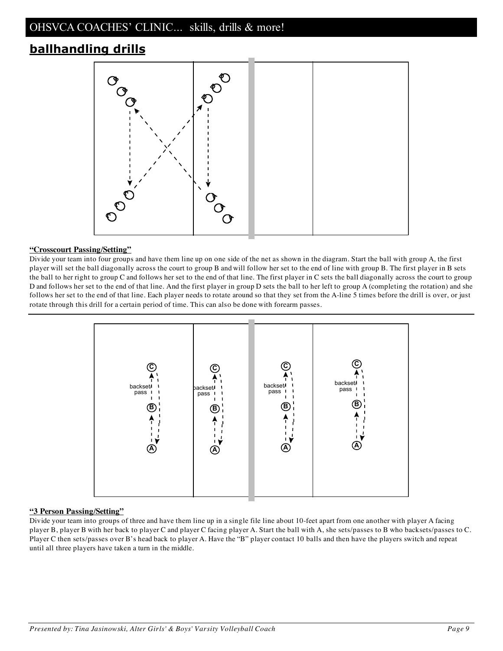# **ballhandling drills**



#### **"Crosscourt Passing/Setting"**

Divide your team into four groups and have them line up on one side of the net as shown in the diagram. Start the ball with group A, the first player will set the ball diagonally across the court to group B and will follow her set to the end of line with group B. The first player in B sets the ball to her right to group C and follows her set to the end of that line. The first player in C sets the ball diagonally across the court to group D and follows her set to the end of that line. And the first player in group D sets the ball to her left to group A (completing the rotation) and she follows her set to the end of that line. Each player needs to rotate around so that they set from the A-line 5 times before the drill is over, or just rotate through this drill for a certain period of time. This can also be done with forearm passes.



#### **"3 Person Passing/Setting"**

Divide your team into groups of three and have them line up in a single file line about 10-feet apart from one another with player A facing player B, player B with her back to player C and player C facing player A. Start the ball with A, she sets/passes to B who backsets/passes to C. Player C then sets/passes over B's head back to player A. Have the "B" player contact 10 balls and then have the players switch and repeat until all three players have taken a turn in the middle.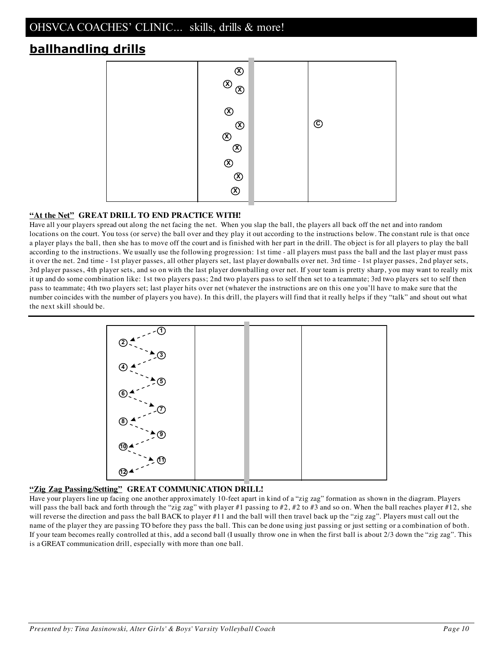# **ballhandling drills**



#### **"At the Net" GREAT DRILL TO END PRACTICE WITH!**

Have all your players spread out along the net facing the net. When you slap the ball, the players all back off the net and into random locations on the court. You toss (or serve) the ball over and they play it out according to the instructions below. The constant rule is that once a player plays the ball, then she has to move off the court and is finished with her part in the drill. The object is for all players to play the ball according to the instructions. We usually use the following progression: 1st time - all players must pass the ball and the last player must pass it over the net. 2nd time - 1st player passes, all other players set, last player downballs over net. 3rd time - 1st player passes, 2nd player sets, 3rd player passes, 4th player sets, and so on with the last player downballing over net. If your team is pretty sharp, you may want to really mix it up and do some combination like: 1st two players pass; 2nd two players pass to self then set to a teammate; 3rd two players set to self then pass to teammate; 4th two players set; last player hits over net (whatever the instructions are on this one you'll have to make sure that the number coincides with the number of players you have). In this drill, the players will find that it really helps if they "talk" and shout out what the next skill should be.



#### **"Zig Zag Passing/Setting" GREAT COMMUNICATION DRILL!**

Have your players line up facing one another approximately 10-feet apart in kind of a "zig zag" formation as shown in the diagram. Players will pass the ball back and forth through the "zig zag" with player #1 passing to #2, #2 to #3 and so on. When the ball reaches player #12, she will reverse the direction and pass the ball BACK to player #11 and the ball will then travel back up the "zig zag". Players must call out the name of the player they are passing TO before they pass the ball. This can be done using just passing or just setting or a combination of both. If your team becomes really controlled at this, add a second ball (I usually throw one in when the first ball is about 2/3 down the "zig zag". This is a GREAT communication drill, especially with more than one ball.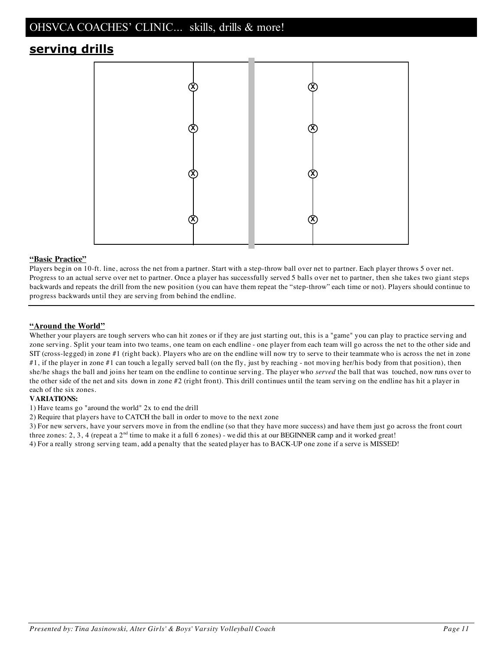# **serving drills**



#### **"Basic Practice"**

Players begin on 10-ft. line, across the net from a partner. Start with a step-throw ball over net to partner. Each player throws 5 over net. Progress to an actual serve over net to partner. Once a player has successfully served 5 balls over net to partner, then she takes two giant steps backwards and repeats the drill from the new position (you can have them repeat the "step-throw" each time or not). Players should continue to progress backwards until they are serving from behind the endline.

#### **"Around the World"**

Whether your players are tough servers who can hit zones or if they are just starting out, this is a "game" you can play to practice serving and zone serving. Split your team into two teams, one team on each endline - one player from each team will go across the net to the other side and SIT (cross-legged) in zone #1 (right back). Players who are on the endline will now try to serve to their teammate who is across the net in zone #1, if the player in zone #1 can touch a legally served ball (on the fly, just by reaching - not moving her/his body from that position), then she/he shags the ball and joins her team on the endline to continue serving. The player who *served* the ball that was touched, now runs over to the other side of the net and sits down in zone #2 (right front). This drill continues until the team serving on the endline has hit a player in each of the six zones.

#### **VARIATIONS:**

1) Have teams go "around the world" 2x to end the drill

2) Require that players have to CATCH the ball in order to move to the next zone

3) For new servers, have your servers move in from the endline (so that they have more success) and have them just go across the front court three zones: 2, 3, 4 (repeat a  $2<sup>nd</sup>$  time to make it a full 6 zones) - we did this at our BEGINNER camp and it worked great!

4) For a really strong serving team, add a penalty that the seated player has to BACK-UP one zone if a serve is MISSED!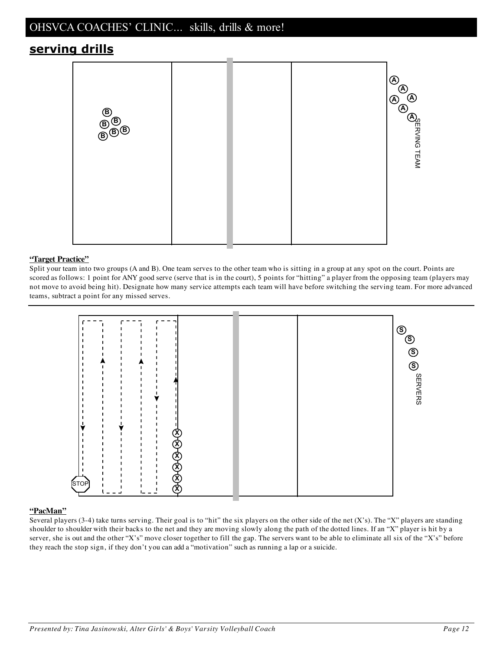# **serving drills**



#### **"Target Practice"**

Split your team into two groups (A and B). One team serves to the other team who is sitting in a group at any spot on the court. Points are scored as follows: 1 point for ANY good serve (serve that is in the court), 5 points for "hitting" a player from the opposing team (players may not move to avoid being hit). Designate how many service attempts each team will have before switching the serving team. For more advanced teams, subtract a point for any missed serves.



#### **"PacMan"**

Several players (3-4) take turns serving. Their goal is to "hit" the six players on the other side of the net  $(X's)$ . The "X" players are standing shoulder to shoulder with their backs to the net and they are moving slowly along the path of the dotted lines. If an "X" player is hit by a server, she is out and the other "X's" move closer together to fill the gap. The servers want to be able to eliminate all six of the "X's" before they reach the stop sign, if they don't you can add a "motivation" such as running a lap or a suicide.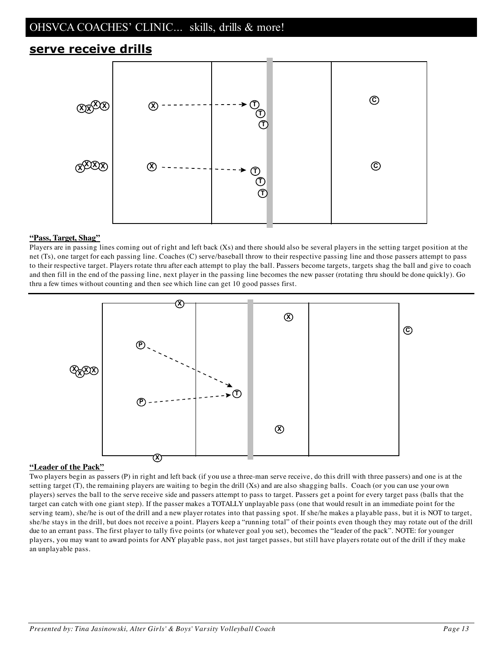### **serve receive drills**



#### **"Pass, Target, Shag"**

Players are in passing lines coming out of right and left back (Xs) and there should also be several players in the setting target position at the net (Ts), one target for each passing line. Coaches (C) serve/baseball throw to their respective passing line and those passers attempt to pass to their respective target. Players rotate thru after each attempt to play the ball. Passers become targets, targets shag the ball and give to coach and then fill in the end of the passing line, next player in the passing line becomes the new passer (rotating thru should be done quickly). Go thru a few times without counting and then see which line can get 10 good passes first.



#### **"Leader of the Pack"**

Two players begin as passers (P) in right and left back (if you use a three-man serve receive, do this drill with three passers) and one is at the setting target (T), the remaining players are waiting to begin the drill (Xs) and are also shagging balls. Coach (or you can use your own players) serves the ball to the serve receive side and passers attempt to pass to target. Passers get a point for every target pass (balls that the target can catch with one giant step). If the passer makes a TOTALLY unplayable pass (one that would result in an immediate point for the serving team), she/he is out of the drill and a new player rotates into that passing spot. If she/he makes a playable pass, but it is NOT to target, she/he stays in the drill, but does not receive a point. Players keep a "running total" of their points even though they may rotate out of the drill due to an errant pass. The first player to tally five points (or whatever goal you set), becomes the "leader of the pack". NOTE: for younger players, you may want to award points for ANY playable pass, not just target passes, but still have players rotate out of the drill if they make an unplayable pass.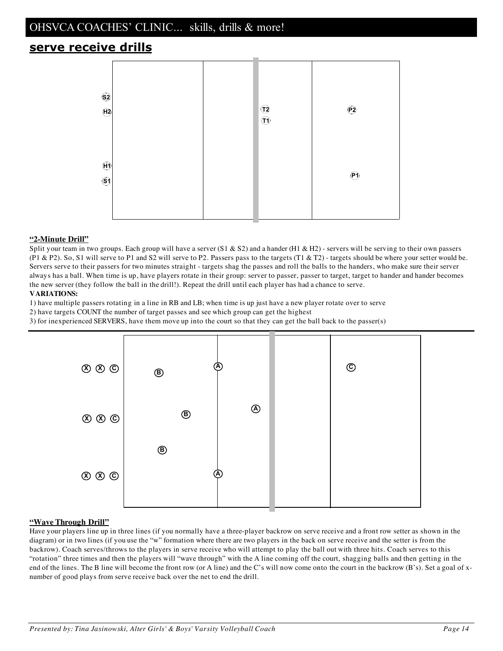## **serve receive drills**



#### **"2-Minute Drill"**

Split your team in two groups. Each group will have a server  $(S1 \& S2)$  and a hander  $(H1 \& H2)$  - servers will be serving to their own passers (P1 & P2). So, S1 will serve to P1 and S2 will serve to P2. Passers pass to the targets (T1 & T2) - targets should be where your setter would be. Servers serve to their passers for two minutes straight - targets shag the passes and roll the balls to the handers, who make sure their server always has a ball. When time is up, have players rotate in their group: server to passer, passer to target, target to hander and hander becomes the new server (they follow the ball in the drill!). Repeat the drill until each player has had a chance to serve.

#### **VARIATIONS:**

1) have multiple passers rotating in a line in RB and LB; when time is up just have a new player rotate over to serve

2) have targets COUNT the number of target passes and see which group can get the highest

3) for inexperienced SERVERS, have them move up into the court so that they can get the ball back to the passer(s)



#### **"Wave Through Drill"**

Have your players line up in three lines (if you normally have a three-player backrow on serve receive and a front row setter as shown in the diagram) or in two lines (if you use the "w" formation where there are two players in the back on serve receive and the setter is from the backrow). Coach serves/throws to the players in serve receive who will attempt to play the ball out with three hits. Coach serves to this "rotation" three times and then the players will "wave through" with the A line coming off the court, shagging balls and then getting in the end of the lines. The B line will become the front row (or A line) and the C's will now come onto the court in the backrow (B's). Set a goal of xnumber of good plays from serve receive back over the net to end the drill.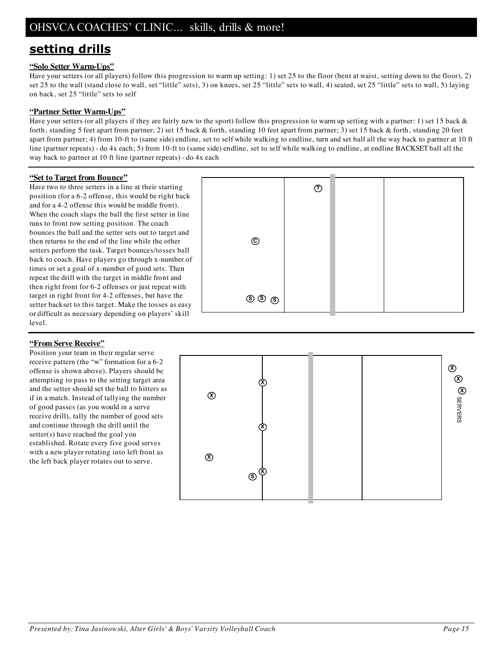# **setting drills**

#### **"Solo Setter Warm-Ups"**

Have your setters (or all players) follow this progression to warm up setting: 1) set 25 to the floor (bent at waist, setting down to the floor), 2) set 25 to the wall (stand close to wall, set "little" sets), 3) on knees, set 25 "little" sets to wall, 4) seated, set 25 "little" sets to wall, 5) laying on back, set 25 "little" sets to self

#### **"Partner Setter Warm-Ups"**

Have your setters (or all players if they are fairly new to the sport) follow this progression to warm up setting with a partner: 1) set 15 back & forth, standing 5 feet apart from partner; 2) set 15 back & forth, standing 10 feet apart from partner; 3) set 15 back & forth, standing 20 feet apart from partner; 4) from 10-ft to (same side) endline, set to self while walking to endline, turn and set ball all the way back to partner at 10 ft line (partner repeats) - do 4x each; 5) from 10-ft to (same side) endline, set to self while walking to endline, at endline BACKSET ball all the way back to partner at 10 ft line (partner repeats) - do 4x each

#### **"Set to Target from Bounce"**

Have two to three setters in a line at their starting position (for a 6-2 offense, this would be right back and for a 4-2 offense this would be middle front). When the coach slaps the ball the first setter in line runs to front row setting position. The coach bounces the ball and the setter sets out to target and then returns to the end of the line while the other setters perform the task. Target bounces/tosses ball back to coach. Have players go through x-number of times or set a goal of x-number of good sets. Then repeat the drill with the target in middle front and then right front for 6-2 offenses or just repeat with target in right front for 4-2 offenses, but have the setter backset to this target. Make the tosses as easy or difficult as necessary depending on players' skill level.

# **S S S C T**

#### **"From Serve Receive"**

Position your team in their regular serve receive pattern (the "w" formation for a 6-2 offense is shown above). Players should be attempting to pass to the setting target area and the setter should set the ball to hitters as if in a match. Instead of tallying the number of good passes (as you would in a serve receive drill), tally the number of good sets and continue through the drill until the setter(s) have reached the goal you established. Rotate every five good serves with a new player rotating into left front as the left back player rotates out to serve.

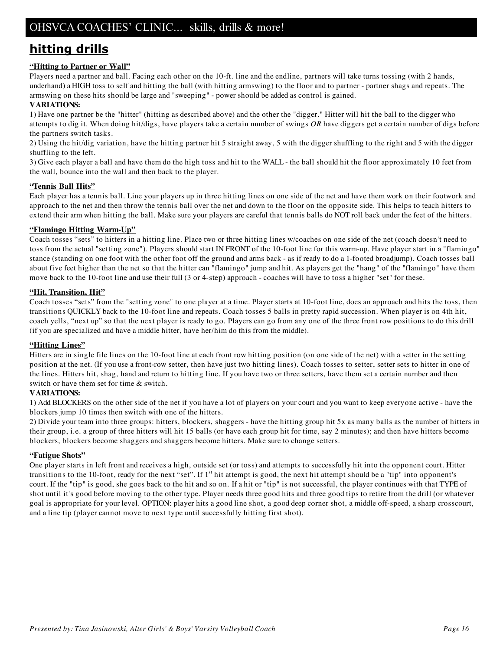# **hitting drills**

#### **"Hitting to Partner or Wall"**

Players need a partner and ball. Facing each other on the 10-ft. line and the endline, partners will take turns tossing (with 2 hands, underhand) a HIGH toss to self and hitting the ball (with hitting armswing) to the floor and to partner - partner shags and repeats. The armswing on these hits should be large and "sweeping" - power should be added as control is gained.

#### **VARIATIONS:**

1) Have one partner be the "hitter" (hitting as described above) and the other the "digger." Hitter will hit the ball to the digger who attempts to dig it. When doing hit/digs, have players take a certain number of swings *OR* have diggers get a certain number of digs before the partners switch tasks.

2) Using the hit/dig variation, have the hitting partner hit 5 straight away, 5 with the digger shuffling to the right and 5 with the digger shuffling to the left.

3) Give each player a ball and have them do the high toss and hit to the WALL - the ball should hit the floor approximately 10 feet from the wall, bounce into the wall and then back to the player.

#### **"Tennis Ball Hits"**

Each player has a tennis ball. Line your players up in three hitting lines on one side of the net and have them work on their footwork and approach to the net and then throw the tennis ball over the net and down to the floor on the opposite side. This helps to teach hitters to extend their arm when hitting the ball. Make sure your players are careful that tennis balls do NOT roll back under the feet of the hitters.

#### **"Flamingo Hitting Warm-Up"**

Coach tosses "sets" to hitters in a hitting line. Place two or three hitting lines w/coaches on one side of the net (coach doesn't need to toss from the actual "setting zone"). Players should start IN FRONT of the 10-foot line for this warm-up. Have player start in a "flamingo" stance (standing on one foot with the other foot off the ground and arms back - as if ready to do a 1-footed broadjump). Coach tosses ball about five feet higher than the net so that the hitter can "flamingo" jump and hit. As players get the "hang" of the "flamingo" have them move back to the 10-foot line and use their full (3 or 4-step) approach - coaches will have to toss a higher "set" for these.

#### **"Hit, Transition, Hit"**

Coach tosses "sets" from the "setting zone" to one player at a time. Player starts at 10-foot line, does an approach and hits the toss, then transitions QUICKLY back to the 10-foot line and repeats. Coach tosses 5 balls in pretty rapid succession. When player is on 4th hit, coach yells, "next up" so that the next player is ready to go. Players can go from any one of the three front row positions to do this drill (if you are specialized and have a middle hitter, have her/him do this from the middle).

#### **"Hitting Lines"**

Hitters are in single file lines on the 10-foot line at each front row hitting position (on one side of the net) with a setter in the setting position at the net. (If you use a front-row setter, then have just two hitting lines). Coach tosses to setter, setter sets to hitter in one of the lines. Hitters hit, shag, hand and return to hitting line. If you have two or three setters, have them set a certain number and then switch or have them set for time & switch.

#### **VARIATIONS:**

1) Add BLOCKERS on the other side of the net if you have a lot of players on your court and you want to keep everyone active - have the blockers jump 10 times then switch with one of the hitters.

2) Divide your team into three groups: hitters, blockers, shaggers - have the hitting group hit 5x as many balls as the number of hitters in their group, i.e. a group of three hitters will hit 15 balls (or have each group hit for time, say 2 minutes); and then have hitters become blockers, blockers become shaggers and shaggers become hitters. Make sure to change setters.

#### **"Fatigue Shots"**

One player starts in left front and receives a high, outside set (or toss) and attempts to successfully hit into the opponent court. Hitter transitions to the 10-foot, ready for the next "set". If 1<sup>st</sup> hit attempt is good, the next hit attempt should be a "tip" into opponent's court. If the "tip" is good, she goes back to the hit and so on. If a hit or "tip" is not successful, the player continues with that TYPE of shot until it's good before moving to the other type. Player needs three good hits and three good tips to retire from the drill (or whatever goal is appropriate for your level. OPTION: player hits a good line shot, a good deep corner shot, a middle off-speed, a sharp crosscourt, and a line tip (player cannot move to next type until successfully hitting first shot).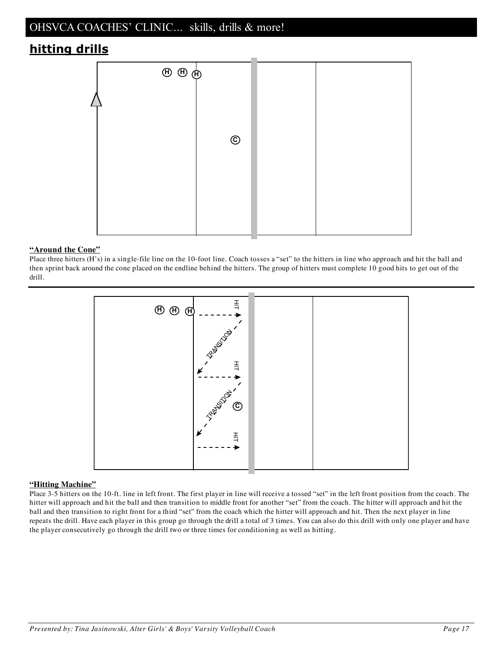# **hitting drills**



#### **"Around the Cone"**

Place three hitters (H's) in a single-file line on the 10-foot line. Coach tosses a "set" to the hitters in line who approach and hit the ball and then sprint back around the cone placed on the endline behind the hitters. The group of hitters must complete 10 good hits to get out of the drill.



#### **"Hitting Machine"**

Place 3-5 hitters on the 10-ft. line in left front. The first player in line will receive a tossed "set" in the left front position from the coach. The hitter will approach and hit the ball and then transition to middle front for another "set" from the coach. The hitter will approach and hit the ball and then transition to right front for a third "set" from the coach which the hitter will approach and hit. Then the next player in line repeats the drill. Have each player in this group go through the drill a total of 3 times. You can also do this drill with only one player and have the player consecutively go through the drill two or three times for conditioning as well as hitting.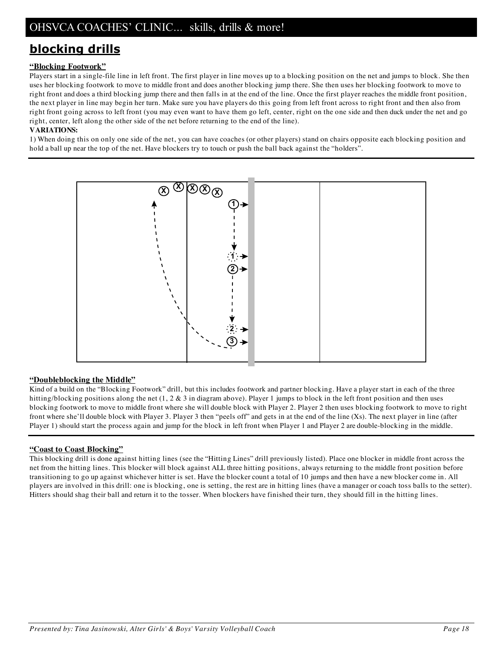# **blocking drills**

#### **"Blocking Footwork"**

Players start in a single-file line in left front. The first player in line moves up to a blocking position on the net and jumps to block. She then uses her blocking footwork to move to middle front and does another blocking jump there. She then uses her blocking footwork to move to right front and does a third blocking jump there and then falls in at the end of the line. Once the first player reaches the middle front position, the next player in line may begin her turn. Make sure you have players do this going from left front across to right front and then also from right front going across to left front (you may even want to have them go left, center, right on the one side and then duck under the net and go right, center, left along the other side of the net before returning to the end of the line).

#### **VARIATIONS:**

1) When doing this on only one side of the net, you can have coaches (or other players) stand on chairs opposite each blocking position and hold a ball up near the top of the net. Have blockers try to touch or push the ball back against the "holders".



#### **"Doubleblocking the Middle"**

Kind of a build on the "Blocking Footwork" drill, but this includes footwork and partner blocking. Have a player start in each of the three hitting/blocking positions along the net (1, 2 & 3 in diagram above). Player 1 jumps to block in the left front position and then uses blocking footwork to move to middle front where she will double block with Player 2. Player 2 then uses blocking footwork to move to right front where she'll double block with Player 3. Player 3 then "peels off" and gets in at the end of the line (Xs). The next player in line (after Player 1) should start the process again and jump for the block in left front when Player 1 and Player 2 are double-blocking in the middle.

#### **"Coast to Coast Blocking"**

This blocking drill is done against hitting lines (see the "Hitting Lines" drill previously listed). Place one blocker in middle front across the net from the hitting lines. This blocker will block against ALL three hitting positions, always returning to the middle front position before transitioning to go up against whichever hitter is set. Have the blocker count a total of 10 jumps and then have a new blocker come in. All players are involved in this drill: one is blocking, one is setting, the rest are in hitting lines (have a manager or coach toss balls to the setter). Hitters should shag their ball and return it to the tosser. When blockers have finished their turn, they should fill in the hitting lines.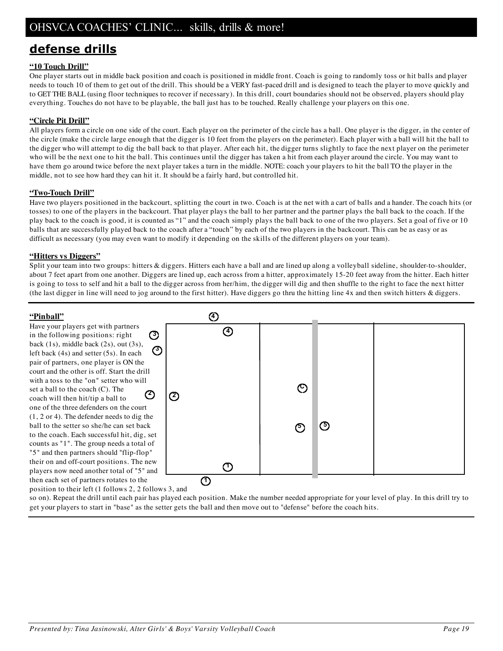# **defense drills**

#### **"10 Touch Drill"**

One player starts out in middle back position and coach is positioned in middle front. Coach is going to randomly toss or hit balls and player needs to touch 10 of them to get out of the drill. This should be a VERY fast-paced drill and is designed to teach the player to move quickly and to GET THE BALL (using floor techniques to recover if necessary). In this drill, court boundaries should not be observed, players should play everything. Touches do not have to be playable, the ball just has to be touched. Really challenge your players on this one.

#### **"Circle Pit Drill"**

All players form a circle on one side of the court. Each player on the perimeter of the circle has a ball. One player is the digger, in the center of the circle (make the circle large enough that the digger is 10 feet from the players on the perimeter). Each player with a ball will hit the ball to the digger who will attempt to dig the ball back to that player. After each hit, the digger turns slightly to face the next player on the perimeter who will be the next one to hit the ball. This continues until the digger has taken a hit from each player around the circle. You may want to have them go around twice before the next player takes a turn in the middle. NOTE: coach your players to hit the ball TO the player in the middle, not to see how hard they can hit it. It should be a fairly hard, but controlled hit.

#### **"Two-Touch Drill"**

Have two players positioned in the backcourt, splitting the court in two. Coach is at the net with a cart of balls and a hander. The coach hits (or tosses) to one of the players in the backcourt. That player plays the ball to her partner and the partner plays the ball back to the coach. If the play back to the coach is good, it is counted as "1" and the coach simply plays the ball back to one of the two players. Set a goal of five or 10 balls that are successfully played back to the coach after a "touch" by each of the two players in the backcourt. This can be as easy or as difficult as necessary (you may even want to modify it depending on the skills of the different players on your team).

#### **"Hitters vs Diggers"**

Split your team into two groups: hitters & diggers. Hitters each have a ball and are lined up along a volleyball sideline, shoulder-to-shoulder, about 7 feet apart from one another. Diggers are lined up, each across from a hitter, approximately 15-20 feet away from the hitter. Each hitter is going to toss to self and hit a ball to the digger across from her/him, the digger will dig and then shuffle to the right to face the next hitter (the last digger in line will need to jog around to the first hitter). Have diggers go thru the hitting line 4x and then switch hitters & diggers.

#### **"Pinball"**

**2 3** Have your players get with partners in the following positions: right back (1s), middle back (2s), out (3s), left back (4s) and setter (5s). In each pair of partners, one player is ON the court and the other is off. Start the drill with a toss to the "on" setter who will set a ball to the coach (C). The coach will then hit/tip a ball to one of the three defenders on the court (1, 2 or 4). The defender needs to dig the ball to the setter so she/he can set back to the coach. Each successful hit, dig, set counts as "1". The group needs a total of "5" and then partners should "flip-flop" their on and off-court positions. The new players now need another total of "5" and then each set of partners rotates to the



position to their left (1 follows 2, 2 follows 3, and

so on). Repeat the drill until each pair has played each position. Make the number needed appropriate for your level of play. In this drill try to get your players to start in "base" as the setter gets the ball and then move out to "defense" before the coach hits.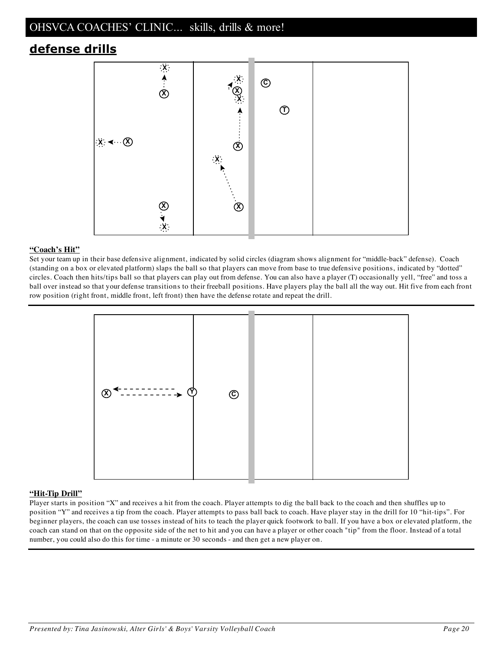# **defense drills**



#### **"Coach's Hit"**

Set your team up in their base defensive alignment, indicated by solid circles (diagram shows alignment for "middle-back" defense). Coach (standing on a box or elevated platform) slaps the ball so that players can move from base to true defensive positions, indicated by "dotted" circles. Coach then hits/tips ball so that players can play out from defense. You can also have a player (T) occasionally yell, "free" and toss a ball over instead so that your defense transitions to their freeball positions. Have players play the ball all the way out. Hit five from each front row position (right front, middle front, left front) then have the defense rotate and repeat the drill.



#### **"Hit-Tip Drill"**

Player starts in position "X" and receives a hit from the coach. Player attempts to dig the ball back to the coach and then shuffles up to position "Y" and receives a tip from the coach. Player attempts to pass ball back to coach. Have player stay in the drill for 10 "hit-tips". For beginner players, the coach can use tosses instead of hits to teach the player quick footwork to ball. If you have a box or elevated platform, the coach can stand on that on the opposite side of the net to hit and you can have a player or other coach "tip" from the floor. Instead of a total number, you could also do this for time - a minute or 30 seconds - and then get a new player on.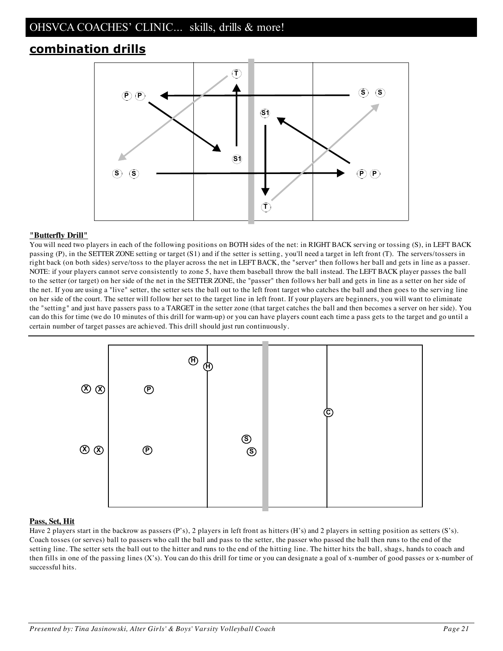# **combination drills**



#### **"Butterfly Drill"**

You will need two players in each of the following positions on BOTH sides of the net: in RIGHT BACK serving or tossing (S), in LEFT BACK passing (P), in the SETTER ZONE setting or target (S1) and if the setter is setting, you'll need a target in left front (T). The servers/tossers in right back (on both sides) serve/toss to the player across the net in LEFT BACK, the "server" then follows her ball and gets in line as a passer. NOTE: if your players cannot serve consistently to zone 5, have them baseball throw the ball instead. The LEFT BACK player passes the ball to the setter (or target) on her side of the net in the SETTER ZONE, the "passer" then follows her ball and gets in line as a setter on her side of the net. If you are using a "live" setter, the setter sets the ball out to the left front target who catches the ball and then goes to the serving line on her side of the court. The setter will follow her set to the target line in left front. If your players are beginners, you will want to eliminate the "setting" and just have passers pass to a TARGET in the setter zone (that target catches the ball and then becomes a server on her side). You can do this for time (we do 10 minutes of this drill for warm-up) or you can have players count each time a pass gets to the target and go until a certain number of target passes are achieved. This drill should just run continuously.



#### **Pass, Set, Hit**

Have 2 players start in the backrow as passers (P's), 2 players in left front as hitters (H's) and 2 players in setting position as setters (S's). Coach tosses (or serves) ball to passers who call the ball and pass to the setter, the passer who passed the ball then runs to the end of the setting line. The setter sets the ball out to the hitter and runs to the end of the hitting line. The hitter hits the ball, shags, hands to coach and then fills in one of the passing lines (X's). You can do this drill for time or you can designate a goal of x-number of good passes or x-number of successful hits.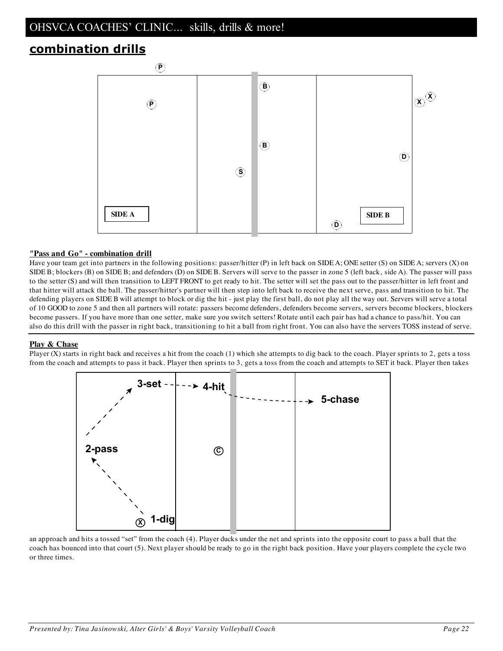# **combination drills**



#### **"Pass and Go" - combination drill**

Have your team get into partners in the following positions: passer/hitter (P) in left back on SIDE A; ONE setter (S) on SIDE A; servers (X) on SIDE B; blockers (B) on SIDE B; and defenders (D) on SIDE B. Servers will serve to the passer in zone 5 (left back, side A). The passer will pass to the setter (S) and will then transition to LEFT FRONT to get ready to hit. The setter will set the pass out to the passer/hitter in left front and that hitter will attack the ball. The passer/hitter's partner will then step into left back to receive the next serve, pass and transition to hit. The defending players on SIDE B will attempt to block or dig the hit - just play the first ball, do not play all the way out. Servers will serve a total of 10 GOOD to zone 5 and then all partners will rotate: passers become defenders, defenders become servers, servers become blockers, blockers become passers. If you have more than one setter, make sure you switch setters! Rotate until each pair has had a chance to pass/hit. You can also do this drill with the passer in right back, transitioning to hit a ball from right front. You can also have the servers TOSS instead of serve.

#### **Play & Chase**

Player  $(X)$  starts in right back and receives a hit from the coach  $(1)$  which she attempts to dig back to the coach. Player sprints to 2, gets a toss from the coach and attempts to pass it back. Player then sprints to 3, gets a toss from the coach and attempts to SET it back. Player then takes



an approach and hits a tossed "set" from the coach (4). Player ducks under the net and sprints into the opposite court to pass a ball that the coach has bounced into that court (5). Next player should be ready to go in the right back position. Have your players complete the cycle two or three times.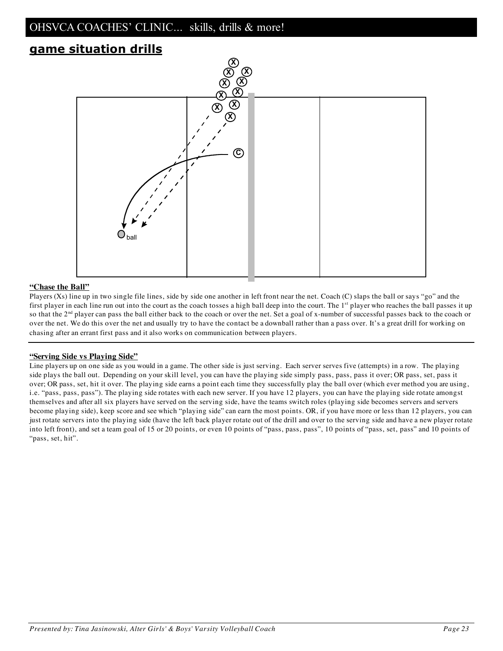# **game situation drills**



#### **"Chase the Ball"**

Players (Xs) line up in two single file lines, side by side one another in left front near the net. Coach (C) slaps the ball or says "go" and the first player in each line run out into the court as the coach tosses a high ball deep into the court. The 1<sup>st</sup> player who reaches the ball passes it up so that the  $2<sup>nd</sup>$  player can pass the ball either back to the coach or over the net. Set a goal of x-number of successful passes back to the coach or over the net. We do this over the net and usually try to have the contact be a downball rather than a pass over. It's a great drill for working on chasing after an errant first pass and it also works on communication between players.

#### **"Serving Side vs Playing Side"**

Line players up on one side as you would in a game. The other side is just serving. Each server serves five (attempts) in a row. The playing side plays the ball out. Depending on your skill level, you can have the playing side simply pass, pass, pass it over; OR pass, set, pass it over; OR pass, set, hit it over. The playing side earns a point each time they successfully play the ball over (which ever method you are using, i.e. "pass, pass, pass"). The playing side rotates with each new server. If you have 12 players, you can have the playing side rotate amongst themselves and after all six players have served on the serving side, have the teams switch roles (playing side becomes servers and servers become playing side), keep score and see which "playing side" can earn the most points. OR, if you have more or less than 12 players, you can just rotate servers into the playing side (have the left back player rotate out of the drill and over to the serving side and have a new player rotate into left front), and set a team goal of 15 or 20 points, or even 10 points of "pass, pass, pass", 10 points of "pass, set, pass" and 10 points of "pass, set, hit".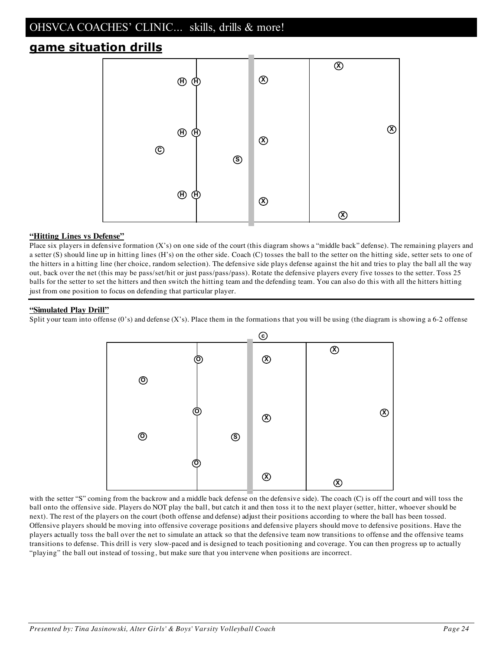# **game situation drills**



#### **"Hitting Lines vs Defense"**

Place six players in defensive formation (X's) on one side of the court (this diagram shows a "middle back" defense). The remaining players and a setter (S) should line up in hitting lines (H's) on the other side. Coach (C) tosses the ball to the setter on the hitting side, setter sets to one of the hitters in a hitting line (her choice, random selection). The defensive side plays defense against the hit and tries to play the ball all the way out, back over the net (this may be pass/set/hit or just pass/pass/pass). Rotate the defensive players every five tosses to the setter. Toss 25 balls for the setter to set the hitters and then switch the hitting team and the defending team. You can also do this with all the hitters hitting just from one position to focus on defending that particular player.

#### **"Simulated Play Drill"**

Split your team into offense (0's) and defense (X's). Place them in the formations that you will be using (the diagram is showing a 6-2 offense



with the setter "S" coming from the backrow and a middle back defense on the defensive side). The coach (C) is off the court and will toss the ball onto the offensive side. Players do NOT play the ball, but catch it and then toss it to the next player (setter, hitter, whoever should be next). The rest of the players on the court (both offense and defense) adjust their positions according to where the ball has been tossed. Offensive players should be moving into offensive coverage positions and defensive players should move to defensive positions. Have the players actually toss the ball over the net to simulate an attack so that the defensive team now transitions to offense and the offensive teams transitions to defense. This drill is very slow-paced and is designed to teach positioning and coverage. You can then progress up to actually "playing" the ball out instead of tossing, but make sure that you intervene when positions are incorrect.